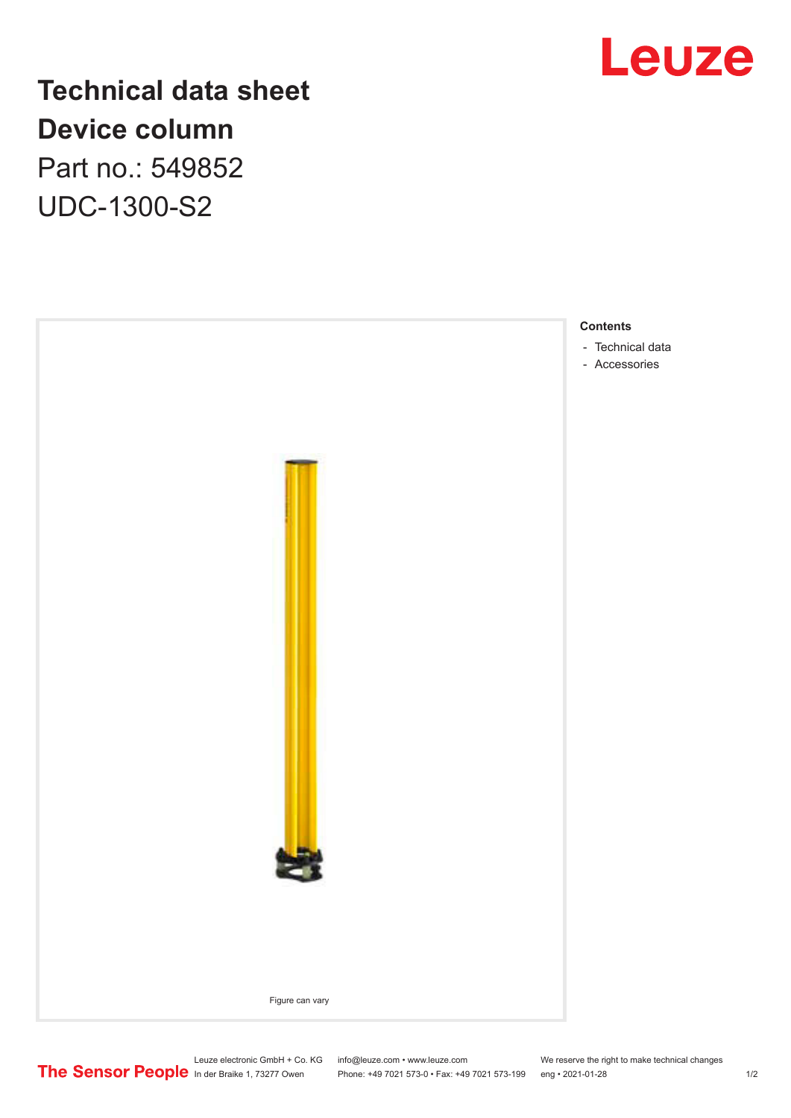

## **Technical data sheet Device column** Part no.: 549852 UDC-1300-S2



Leuze electronic GmbH + Co. KG info@leuze.com • www.leuze.com We reserve the right to make technical changes